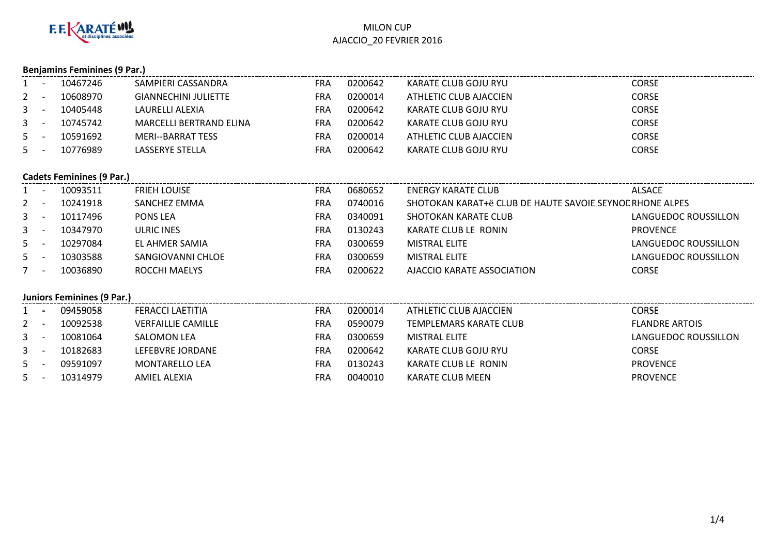

# **Benjamins Feminines (9 Par.)**

|         | 10467246 | SAMPIERI CASSANDRA             | <b>FRA</b> | 0200642 | KARATE CLUB GOJU RYU   | <b>CORSE</b> |
|---------|----------|--------------------------------|------------|---------|------------------------|--------------|
| $2 -$   | 10608970 | <b>GIANNECHINI JULIETTE</b>    | FRA        | 0200014 | ATHLETIC CLUB AJACCIEN | CORSE        |
| $3 - 1$ | 10405448 | LAURELLI ALEXIA                | FRA        | 0200642 | KARATE CLUB GOJU RYU   | CORSE        |
| $3 -$   | 10745742 | <b>MARCELLI BERTRAND ELINA</b> | FRA        | 0200642 | KARATE CLUB GOJU RYU   | CORSE        |
| $5 -$   | 10591692 | MERI--BARRAT TESS              | FRA        | 0200014 | ATHLETIC CLUB AJACCIEN | CORSE        |
| $5 -$   | 10776989 | LASSERYE STELLA                | FRA        | 0200642 | KARATE CLUB GOJU RYU   | CORSE        |

#### **Cadets Feminines (9 Par.)**

|         |                          | 10093511 | <b>FRIEH LOUISE</b> | FRA | 0680652 | <b>ENERGY KARATE CLUB</b>                                | <b>ALSACE</b>        |
|---------|--------------------------|----------|---------------------|-----|---------|----------------------------------------------------------|----------------------|
| $2 -$   |                          | 10241918 | SANCHEZ EMMA        | FRA | 0740016 | SHOTOKAN KARAT+ë CLUB DE HAUTE SAVOIE SEYNOL RHONE ALPES |                      |
| $3 - 1$ |                          | 10117496 | PONS LEA            | FRA | 0340091 | SHOTOKAN KARATE CLUB                                     | LANGUEDOC ROUSSILLON |
| $3 - 1$ |                          | 10347970 | <b>ULRIC INES</b>   | FRA | 0130243 | KARATE CLUB LE RONIN                                     | <b>PROVENCE</b>      |
| $5 -$   |                          | 10297084 | EL AHMER SAMIA      | FRA | 0300659 | <b>MISTRAL ELITE</b>                                     | LANGUEDOC ROUSSILLON |
| 5       |                          | 10303588 | SANGIOVANNI CHLOE   | FRA | 0300659 | <b>MISTRAL ELITE</b>                                     | LANGUEDOC ROUSSILLON |
|         | $\overline{\phantom{a}}$ | 10036890 | ROCCHI MAELYS       | FRA | 0200622 | AJACCIO KARATE ASSOCIATION                               | <b>CORSE</b>         |

## **Juniors Feminines (9 Par.)**

|         | 09459058 | FERACCI LAETITIA          | FRA | 0200014 | ATHLETIC CLUB AJACCIEN | <b>CORSE</b>          |
|---------|----------|---------------------------|-----|---------|------------------------|-----------------------|
| $2 -$   | 10092538 | <b>VERFAILLIE CAMILLE</b> | FRA | 0590079 | TEMPLEMARS KARATE CLUB | <b>FLANDRE ARTOIS</b> |
| $3 - 1$ | 10081064 | <b>SALOMON LEA</b>        | FRA | 0300659 | <b>MISTRAL ELITE</b>   | LANGUEDOC ROUSSILLON  |
| $3 - 1$ | 10182683 | LEFEBVRE JORDANE          | FRA | 0200642 | KARATE CLUB GOJU RYU   | <b>CORSE</b>          |
| $5 -$   | 09591097 | <b>MONTARELLO LEA</b>     | FRA | 0130243 | KARATE CLUB LE RONIN   | <b>PROVENCE</b>       |
| $5 -$   | 10314979 | AMIEL ALEXIA              | FRA | 0040010 | KARATE CLUB MEEN       | <b>PROVENCE</b>       |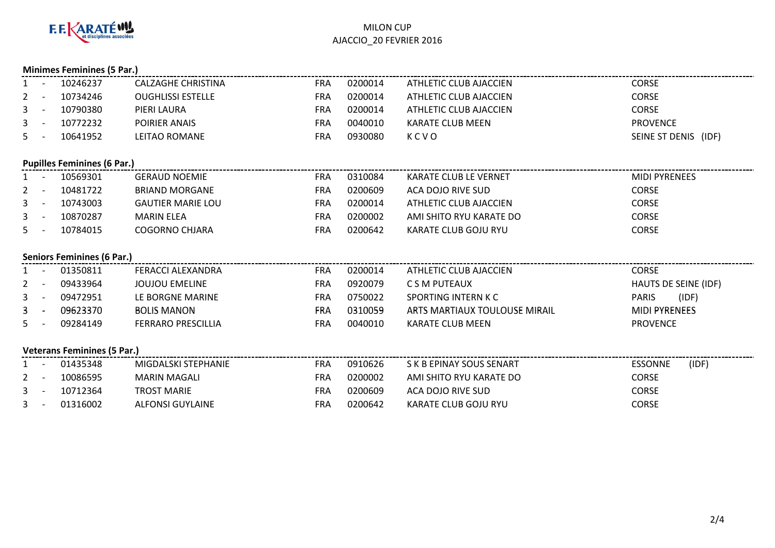

|                                    | <b>Minimes Feminines (5 Par.)</b> |                                    |                           |            |         |                               |                         |  |  |  |
|------------------------------------|-----------------------------------|------------------------------------|---------------------------|------------|---------|-------------------------------|-------------------------|--|--|--|
| $1 -$                              |                                   | 10246237                           | <b>CALZAGHE CHRISTINA</b> | <b>FRA</b> | 0200014 | <b>ATHLETIC CLUB AJACCIEN</b> | <b>CORSE</b>            |  |  |  |
| 2                                  | $\sim$ $-$                        | 10734246                           | <b>OUGHLISSI ESTELLE</b>  | <b>FRA</b> | 0200014 | ATHLETIC CLUB AJACCIEN        | <b>CORSE</b>            |  |  |  |
| 3                                  | $\sim$                            | 10790380                           | PIERI LAURA               | <b>FRA</b> | 0200014 | ATHLETIC CLUB AJACCIEN        | <b>CORSE</b>            |  |  |  |
| 3                                  | $\sim$ $-$                        | 10772232                           | POIRIER ANAIS             | <b>FRA</b> | 0040010 | <b>KARATE CLUB MEEN</b>       | <b>PROVENCE</b>         |  |  |  |
| $5 -$                              |                                   | 10641952                           | LEITAO ROMANE             | <b>FRA</b> | 0930080 | KCVO                          | SEINE ST DENIS (IDF)    |  |  |  |
|                                    |                                   | <b>Pupilles Feminines (6 Par.)</b> |                           |            |         |                               |                         |  |  |  |
|                                    |                                   | 10569301                           | <b>GERAUD NOEMIE</b>      | <b>FRA</b> | 0310084 | KARATE CLUB LE VERNET         | <b>MIDI PYRENEES</b>    |  |  |  |
| $2 -$                              |                                   | 10481722                           | <b>BRIAND MORGANE</b>     | <b>FRA</b> | 0200609 | ACA DOJO RIVE SUD             | <b>CORSE</b>            |  |  |  |
| 3                                  | $\sim$ $-$                        | 10743003                           | <b>GAUTIER MARIE LOU</b>  | <b>FRA</b> | 0200014 | ATHLETIC CLUB AJACCIEN        | <b>CORSE</b>            |  |  |  |
| $3 -$                              |                                   | 10870287                           | <b>MARIN ELEA</b>         | <b>FRA</b> | 0200002 | AMI SHITO RYU KARATE DO       | <b>CORSE</b>            |  |  |  |
| $5 -$                              |                                   | 10784015                           | <b>COGORNO CHJARA</b>     | <b>FRA</b> | 0200642 | KARATE CLUB GOJU RYU          | <b>CORSE</b>            |  |  |  |
|                                    |                                   | <b>Seniors Feminines (6 Par.)</b>  |                           |            |         |                               |                         |  |  |  |
|                                    |                                   | 01350811                           | <b>FERACCI ALEXANDRA</b>  | <b>FRA</b> | 0200014 | ATHLETIC CLUB AJACCIEN        | <b>CORSE</b>            |  |  |  |
| 2                                  |                                   | 09433964                           | <b>JOUJOU EMELINE</b>     | <b>FRA</b> | 0920079 | C S M PUTEAUX                 | HAUTS DE SEINE (IDF)    |  |  |  |
| $\mathbf{3}$                       | $\sim$                            | 09472951                           | LE BORGNE MARINE          | <b>FRA</b> | 0750022 | SPORTING INTERN K C           | (IDF)<br><b>PARIS</b>   |  |  |  |
| 3                                  | $\sim$ $-$                        | 09623370                           | <b>BOLIS MANON</b>        | <b>FRA</b> | 0310059 | ARTS MARTIAUX TOULOUSE MIRAIL | <b>MIDI PYRENEES</b>    |  |  |  |
| $5 -$                              |                                   | 09284149                           | <b>FERRARO PRESCILLIA</b> | <b>FRA</b> | 0040010 | <b>KARATE CLUB MEEN</b>       | <b>PROVENCE</b>         |  |  |  |
| <b>Veterans Feminines (5 Par.)</b> |                                   |                                    |                           |            |         |                               |                         |  |  |  |
| $1 -$                              |                                   | 01435348                           | MIGDALSKI STEPHANIE       | <b>FRA</b> | 0910626 | S K B EPINAY SOUS SENART      | <b>ESSONNE</b><br>(IDF) |  |  |  |
| 2                                  |                                   | 10086595                           | <b>MARIN MAGALI</b>       | <b>FRA</b> | 0200002 | AMI SHITO RYU KARATE DO       | <b>CORSE</b>            |  |  |  |
| $\mathbf{3}$                       | $\sim$                            | 10712364                           | <b>TROST MARIE</b>        | <b>FRA</b> | 0200609 | ACA DOJO RIVE SUD             | <b>CORSE</b>            |  |  |  |
| $\mathbf{3}$                       |                                   | 01316002                           | <b>ALFONSI GUYLAINE</b>   | <b>FRA</b> | 0200642 | KARATE CLUB GOJU RYU          | <b>CORSE</b>            |  |  |  |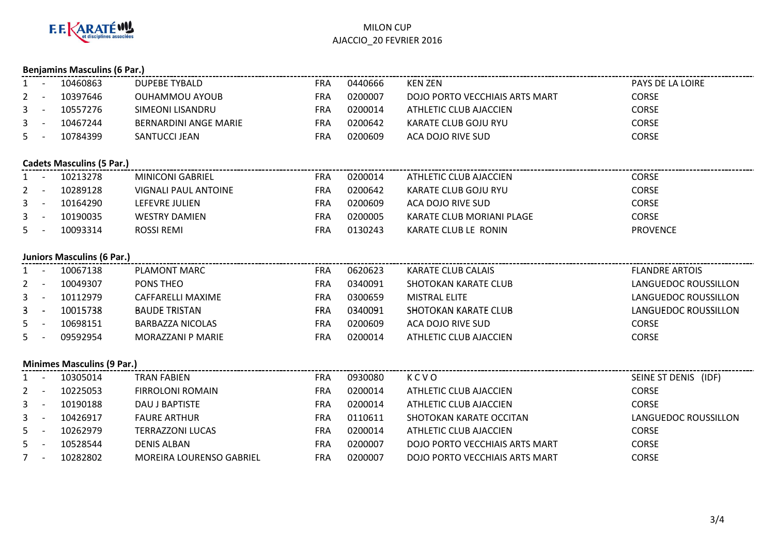

|                | <b>Benjamins Masculins (6 Par.)</b> |                                   |                              |            |         |                                |                       |  |  |
|----------------|-------------------------------------|-----------------------------------|------------------------------|------------|---------|--------------------------------|-----------------------|--|--|
| $1 -$          |                                     | 10460863                          | <b>DUPEBE TYBALD</b>         | <b>FRA</b> | 0440666 | <b>KEN ZEN</b>                 | PAYS DE LA LOIRE      |  |  |
| 2              | $\sim$ $-$                          | 10397646                          | <b>OUHAMMOU AYOUB</b>        | <b>FRA</b> | 0200007 | DOJO PORTO VECCHIAIS ARTS MART | CORSE                 |  |  |
| 3              | $\sim$                              | 10557276                          | <b>SIMEONI LISANDRU</b>      | <b>FRA</b> | 0200014 | ATHLETIC CLUB AJACCIEN         | <b>CORSE</b>          |  |  |
| 3              | $\sim$ $-$                          | 10467244                          | <b>BERNARDINI ANGE MARIE</b> | <b>FRA</b> | 0200642 | KARATE CLUB GOJU RYU           | <b>CORSE</b>          |  |  |
| 5 <sup>5</sup> | $\sim$ $-$                          | 10784399                          | SANTUCCI JEAN                | <b>FRA</b> | 0200609 | ACA DOJO RIVE SUD              | <b>CORSE</b>          |  |  |
|                |                                     |                                   |                              |            |         |                                |                       |  |  |
|                |                                     | Cadets Masculins (5 Par.)         |                              |            |         |                                |                       |  |  |
|                | $\sim$ $-$                          | 10213278                          | <b>MINICONI GABRIEL</b>      | <b>FRA</b> | 0200014 | ATHLETIC CLUB AJACCIEN         | <b>CORSE</b>          |  |  |
| 2              | $\sim$ $-$                          | 10289128                          | <b>VIGNALI PAUL ANTOINE</b>  | <b>FRA</b> | 0200642 | KARATE CLUB GOJU RYU           | <b>CORSE</b>          |  |  |
| 3              | $\sim$ $-$                          | 10164290                          | LEFEVRE JULIEN               | <b>FRA</b> | 0200609 | ACA DOJO RIVE SUD              | <b>CORSE</b>          |  |  |
| 3              | $\sim$                              | 10190035                          | <b>WESTRY DAMIEN</b>         | <b>FRA</b> | 0200005 | KARATE CLUB MORIANI PLAGE      | <b>CORSE</b>          |  |  |
| 5.             | $\sim$                              | 10093314                          | <b>ROSSI REMI</b>            | <b>FRA</b> | 0130243 | KARATE CLUB LE RONIN           | <b>PROVENCE</b>       |  |  |
|                |                                     |                                   |                              |            |         |                                |                       |  |  |
|                |                                     | <b>Juniors Masculins (6 Par.)</b> |                              |            |         |                                |                       |  |  |
| $1 -$          |                                     | 10067138                          | PLAMONT MARC                 | <b>FRA</b> | 0620623 | <b>KARATE CLUB CALAIS</b>      | <b>FLANDRE ARTOIS</b> |  |  |
| $\overline{2}$ | $\sim$ $-$                          | 10049307                          | PONS THEO                    | <b>FRA</b> | 0340091 | SHOTOKAN KARATE CLUB           | LANGUEDOC ROUSSILLON  |  |  |
| 3              | $\sim$ $-$                          | 10112979                          | <b>CAFFARELLI MAXIME</b>     | <b>FRA</b> | 0300659 | <b>MISTRAL ELITE</b>           | LANGUEDOC ROUSSILLON  |  |  |
| 3              | $\sim$ $-$                          | 10015738                          | <b>BAUDE TRISTAN</b>         | <b>FRA</b> | 0340091 | <b>SHOTOKAN KARATE CLUB</b>    | LANGUEDOC ROUSSILLON  |  |  |
| 5              | $\sim$                              | 10698151                          | <b>BARBAZZA NICOLAS</b>      | FRA        | 0200609 | ACA DOJO RIVE SUD              | <b>CORSE</b>          |  |  |
| 5              |                                     | 09592954                          | MORAZZANI P MARIE            | <b>FRA</b> | 0200014 | ATHLETIC CLUB AJACCIEN         | <b>CORSE</b>          |  |  |
|                |                                     |                                   |                              |            |         |                                |                       |  |  |
|                |                                     | <b>Minimes Masculins (9 Par.)</b> |                              |            |         |                                |                       |  |  |
| $1 -$          |                                     | 10305014                          | <b>TRAN FABIEN</b>           | <b>FRA</b> | 0930080 | KCVO                           | SEINE ST DENIS (IDF)  |  |  |
| 2              | $\sim$ $-$                          | 10225053                          | <b>FIRROLONI ROMAIN</b>      | <b>FRA</b> | 0200014 | ATHLETIC CLUB AJACCIEN         | <b>CORSE</b>          |  |  |
| 3              | $\sim$ $-$                          | 10190188                          | DAU J BAPTISTE               | <b>FRA</b> | 0200014 | ATHLETIC CLUB AJACCIEN         | <b>CORSE</b>          |  |  |
| $\mathbf{3}$   | $\sim$ $-$                          | 10426917                          | <b>FAURE ARTHUR</b>          | <b>FRA</b> | 0110611 | SHOTOKAN KARATE OCCITAN        | LANGUEDOC ROUSSILLON  |  |  |
| 5              | $\sim$                              | 10262979                          | <b>TERRAZZONI LUCAS</b>      | <b>FRA</b> | 0200014 | ATHLETIC CLUB AJACCIEN         | <b>CORSE</b>          |  |  |
| 5              | $\sim$ $-$                          | 10528544                          | <b>DENIS ALBAN</b>           | <b>FRA</b> | 0200007 | DOJO PORTO VECCHIAIS ARTS MART | <b>CORSE</b>          |  |  |
| $7 -$          |                                     | 10282802                          | MOREIRA LOURENSO GABRIEL     | <b>FRA</b> | 0200007 | DOJO PORTO VECCHIAIS ARTS MART | CORSE                 |  |  |